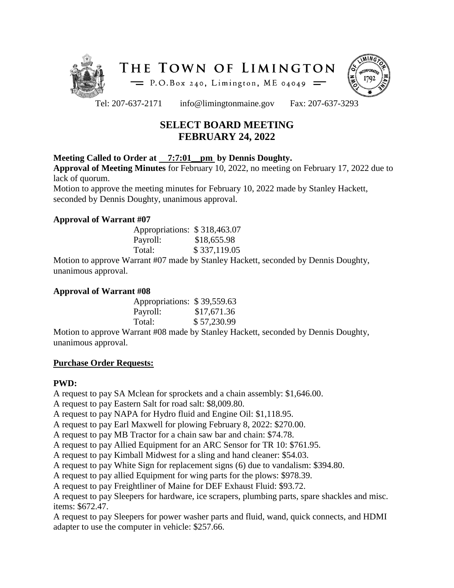



Tel: 207-637-2171 info@limingtonmaine.gov Fax: 207-637-3293

# **SELECT BOARD MEETING FEBRUARY 24, 2022**

# **Meeting Called to Order at 7:7:01\_\_pm by Dennis Doughty.**

**Approval of Meeting Minutes** for February 10, 2022, no meeting on February 17, 2022 due to lack of quorum.

Motion to approve the meeting minutes for February 10, 2022 made by Stanley Hackett, seconded by Dennis Doughty, unanimous approval.

# **Approval of Warrant #07**

| Appropriations: \$318,463.07 |              |
|------------------------------|--------------|
| Payroll:                     | \$18,655.98  |
| Total:                       | \$337,119.05 |

Motion to approve Warrant #07 made by Stanley Hackett, seconded by Dennis Doughty, unanimous approval.

## **Approval of Warrant #08**

| Appropriations: \$39,559.63 |             |
|-----------------------------|-------------|
| Payroll:                    | \$17,671.36 |
| Total:                      | \$57,230.99 |

Motion to approve Warrant #08 made by Stanley Hackett, seconded by Dennis Doughty, unanimous approval.

# **Purchase Order Requests:**

# **PWD:**

A request to pay SA Mclean for sprockets and a chain assembly: \$1,646.00.

A request to pay Eastern Salt for road salt: \$8,009.80.

A request to pay NAPA for Hydro fluid and Engine Oil: \$1,118.95.

A request to pay Earl Maxwell for plowing February 8, 2022: \$270.00.

A request to pay MB Tractor for a chain saw bar and chain: \$74.78.

A request to pay Allied Equipment for an ARC Sensor for TR 10: \$761.95.

A request to pay Kimball Midwest for a sling and hand cleaner: \$54.03.

A request to pay White Sign for replacement signs (6) due to vandalism: \$394.80.

A request to pay allied Equipment for wing parts for the plows: \$978.39.

A request to pay Freightliner of Maine for DEF Exhaust Fluid: \$93.72.

A request to pay Sleepers for hardware, ice scrapers, plumbing parts, spare shackles and misc. items: \$672.47.

A request to pay Sleepers for power washer parts and fluid, wand, quick connects, and HDMI adapter to use the computer in vehicle: \$257.66.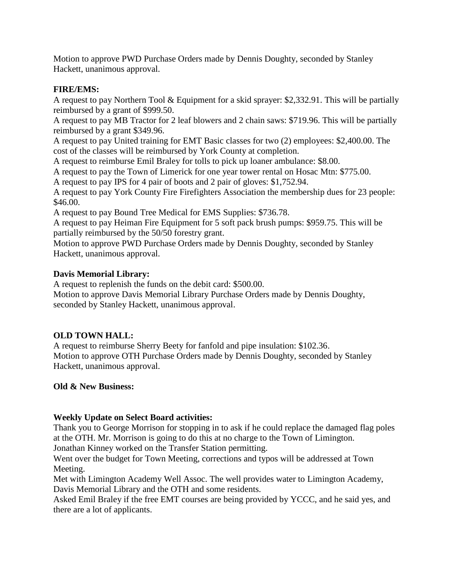Motion to approve PWD Purchase Orders made by Dennis Doughty, seconded by Stanley Hackett, unanimous approval.

## **FIRE/EMS:**

A request to pay Northern Tool & Equipment for a skid sprayer: \$2,332.91. This will be partially reimbursed by a grant of \$999.50.

A request to pay MB Tractor for 2 leaf blowers and 2 chain saws: \$719.96. This will be partially reimbursed by a grant \$349.96.

A request to pay United training for EMT Basic classes for two (2) employees: \$2,400.00. The cost of the classes will be reimbursed by York County at completion.

A request to reimburse Emil Braley for tolls to pick up loaner ambulance: \$8.00.

A request to pay the Town of Limerick for one year tower rental on Hosac Mtn: \$775.00.

A request to pay IPS for 4 pair of boots and 2 pair of gloves: \$1,752.94.

A request to pay York County Fire Firefighters Association the membership dues for 23 people: \$46.00.

A request to pay Bound Tree Medical for EMS Supplies: \$736.78.

A request to pay Heiman Fire Equipment for 5 soft pack brush pumps: \$959.75. This will be partially reimbursed by the 50/50 forestry grant.

Motion to approve PWD Purchase Orders made by Dennis Doughty, seconded by Stanley Hackett, unanimous approval.

#### **Davis Memorial Library:**

A request to replenish the funds on the debit card: \$500.00.

Motion to approve Davis Memorial Library Purchase Orders made by Dennis Doughty, seconded by Stanley Hackett, unanimous approval.

# **OLD TOWN HALL:**

A request to reimburse Sherry Beety for fanfold and pipe insulation: \$102.36. Motion to approve OTH Purchase Orders made by Dennis Doughty, seconded by Stanley Hackett, unanimous approval.

#### **Old & New Business:**

#### **Weekly Update on Select Board activities:**

Thank you to George Morrison for stopping in to ask if he could replace the damaged flag poles at the OTH. Mr. Morrison is going to do this at no charge to the Town of Limington. Jonathan Kinney worked on the Transfer Station permitting.

Went over the budget for Town Meeting, corrections and typos will be addressed at Town Meeting.

Met with Limington Academy Well Assoc. The well provides water to Limington Academy, Davis Memorial Library and the OTH and some residents.

Asked Emil Braley if the free EMT courses are being provided by YCCC, and he said yes, and there are a lot of applicants.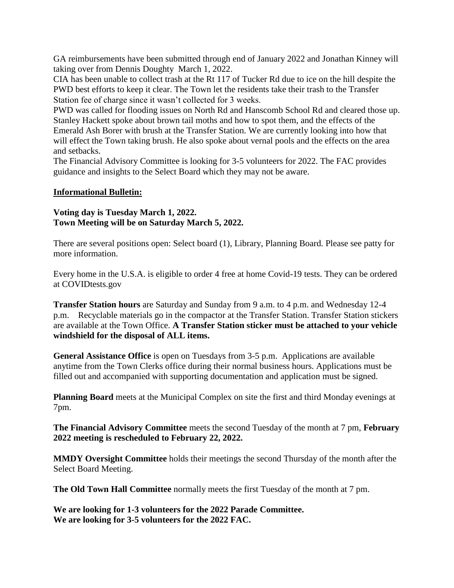GA reimbursements have been submitted through end of January 2022 and Jonathan Kinney will taking over from Dennis Doughty March 1, 2022.

CIA has been unable to collect trash at the Rt 117 of Tucker Rd due to ice on the hill despite the PWD best efforts to keep it clear. The Town let the residents take their trash to the Transfer Station fee of charge since it wasn't collected for 3 weeks.

PWD was called for flooding issues on North Rd and Hanscomb School Rd and cleared those up. Stanley Hackett spoke about brown tail moths and how to spot them, and the effects of the Emerald Ash Borer with brush at the Transfer Station. We are currently looking into how that will effect the Town taking brush. He also spoke about vernal pools and the effects on the area and setbacks.

The Financial Advisory Committee is looking for 3-5 volunteers for 2022. The FAC provides guidance and insights to the Select Board which they may not be aware.

#### **Informational Bulletin:**

#### **Voting day is Tuesday March 1, 2022. Town Meeting will be on Saturday March 5, 2022.**

There are several positions open: Select board (1), Library, Planning Board. Please see patty for more information.

Every home in the U.S.A. is eligible to order 4 free at home Covid-19 tests. They can be ordered at COVIDtests.gov

**Transfer Station hours** are Saturday and Sunday from 9 a.m. to 4 p.m. and Wednesday 12-4 p.m. Recyclable materials go in the compactor at the Transfer Station. Transfer Station stickers are available at the Town Office. **A Transfer Station sticker must be attached to your vehicle windshield for the disposal of ALL items.**

**General Assistance Office** is open on Tuesdays from 3-5 p.m. Applications are available anytime from the Town Clerks office during their normal business hours. Applications must be filled out and accompanied with supporting documentation and application must be signed.

**Planning Board** meets at the Municipal Complex on site the first and third Monday evenings at 7pm.

**The Financial Advisory Committee** meets the second Tuesday of the month at 7 pm, **February 2022 meeting is rescheduled to February 22, 2022.** 

**MMDY Oversight Committee** holds their meetings the second Thursday of the month after the Select Board Meeting.

**The Old Town Hall Committee** normally meets the first Tuesday of the month at 7 pm.

**We are looking for 1-3 volunteers for the 2022 Parade Committee. We are looking for 3-5 volunteers for the 2022 FAC.**